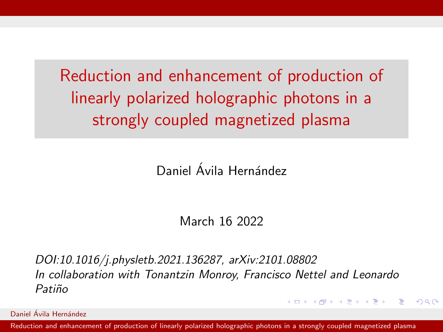<span id="page-0-0"></span>Reduction and enhancement of production of linearly polarized holographic photons in a strongly coupled magnetized plasma

Daniel Ávila Hernández

March 16 2022

DOI:10.1016/j.physletb.2021.136287, arXiv:2101.08802 In collaboration with Tonantzin Monroy, Francisco Nettel and Leonardo Patiño

**KED KAP KED KED E VAR** 

Daniel Ávila Hernández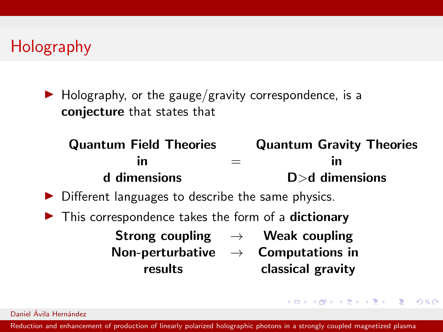$\blacktriangleright$  Holography, or the gauge/gravity correspondence, is a conjecture that states that

#### Quantum Field Theories Quantum Gravity Theories in  $\qquad \qquad =$  in d dimensions D>d dimensions

- $\triangleright$  Different languages to describe the same physics.
- $\blacktriangleright$  This correspondence takes the form of a **dictionary** 
	- Strong coupling  $\rightarrow$  Weak coupling Non-perturbative  $\rightarrow$  Computations in results classical gravity

**KED KAP KED KED E VAR** 

Daniel Ávila Hernández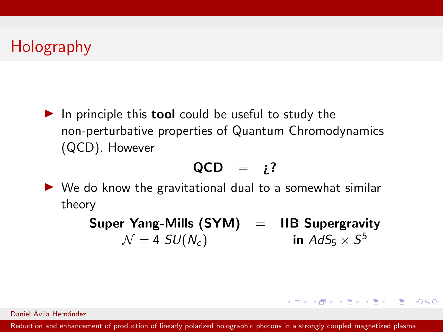$\blacktriangleright$  In principle this **tool** could be useful to study the non-perturbative properties of Quantum Chromodynamics (QCD). However

$$
QCD = i?
$$

 $\triangleright$  We do know the gravitational dual to a somewhat similar theory

> Super Yang-Mills (SYM) = IIB Supergravity  $\mathcal{N} = 4$  SU( $N_c$ ) in  $AdS_{5} \times S^{5}$

> > **KORK EXTERNS ARA**

Daniel Ávila Hernández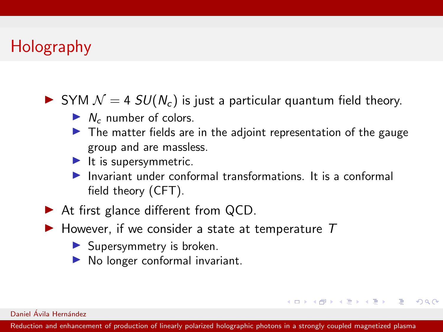- $\triangleright$  SYM  $\mathcal{N} = 4$  SU( $N_c$ ) is just a particular quantum field theory.
	- $\blacktriangleright$  N<sub>c</sub> number of colors.
	- $\blacktriangleright$  The matter fields are in the adjoint representation of the gauge group and are massless.
	- $\blacktriangleright$  It is supersymmetric.
	- Invariant under conformal transformations. It is a conformal field theory (CFT).

**KED KAP KED KED E VAR** 

- $\blacktriangleright$  At first glance different from QCD.
- $\blacktriangleright$  However, if we consider a state at temperature T
	- $\blacktriangleright$  Supersymmetry is broken.
	- $\triangleright$  No longer conformal invariant.

Daniel Ávila Hernández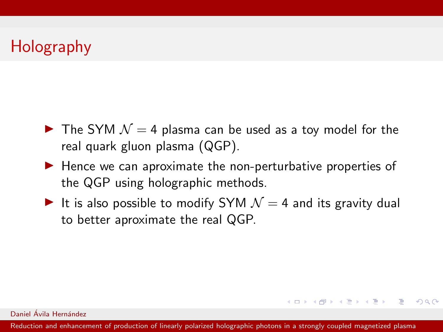- $\blacktriangleright$  The SYM  $\mathcal{N} = 4$  plasma can be used as a toy model for the real quark gluon plasma (QGP).
- $\blacktriangleright$  Hence we can aproximate the non-perturbative properties of the QGP using holographic methods.
- It is also possible to modify SYM  $\mathcal{N} = 4$  and its gravity dual to better aproximate the real QGP.

Daniel Ávila Hernández

[Reduction and enhancement of production of linearly polarized holographic photons in a strongly coupled magnetized plasma](#page-0-0)

**KORK EXTERNS ARA**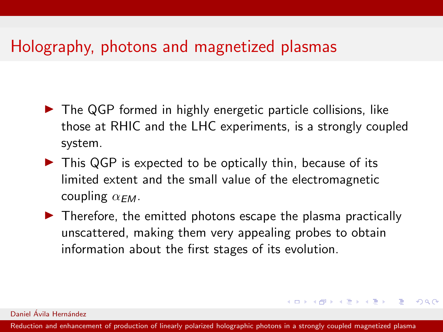- $\triangleright$  The QGP formed in highly energetic particle collisions, like those at RHIC and the LHC experiments, is a strongly coupled system.
- $\triangleright$  This QGP is expected to be optically thin, because of its limited extent and the small value of the electromagnetic coupling  $\alpha_{FM}$ .
- $\blacktriangleright$  Therefore, the emitted photons escape the plasma practically unscattered, making them very appealing probes to obtain information about the first stages of its evolution.

**KED KAP KED KED E VAR** 

#### Daniel Ávila Hernández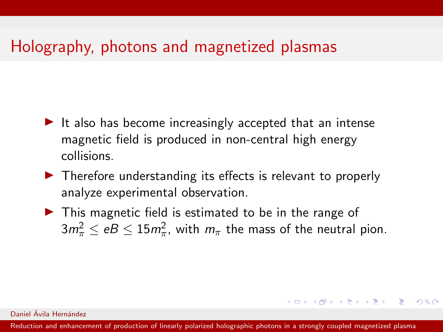- $\blacktriangleright$  It also has become increasingly accepted that an intense magnetic field is produced in non-central high energy collisions.
- $\blacktriangleright$  Therefore understanding its effects is relevant to properly analyze experimental observation.
- $\triangleright$  This magnetic field is estimated to be in the range of  $3m_\pi^2 \leq e B \leq 15 m_\pi^2$ , with  $m_\pi$  the mass of the neutral pion.

Daniel Ávila Hernández

[Reduction and enhancement of production of linearly polarized holographic photons in a strongly coupled magnetized plasma](#page-0-0)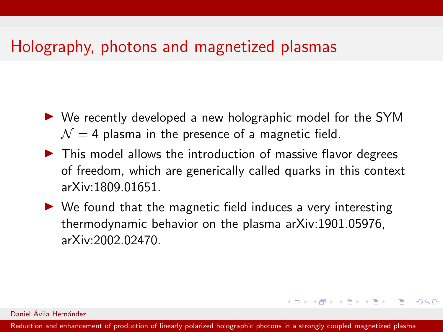- $\triangleright$  We recently developed a new holographic model for the SYM  $\mathcal{N} = 4$  plasma in the presence of a magnetic field.
- $\triangleright$  This model allows the introduction of massive flavor degrees of freedom, which are generically called quarks in this context arXiv:1809.01651.
- $\triangleright$  We found that the magnetic field induces a very interesting thermodynamic behavior on the plasma arXiv:1901.05976, arXiv:2002.02470.

Daniel Ávila Hernández

[Reduction and enhancement of production of linearly polarized holographic photons in a strongly coupled magnetized plasma](#page-0-0)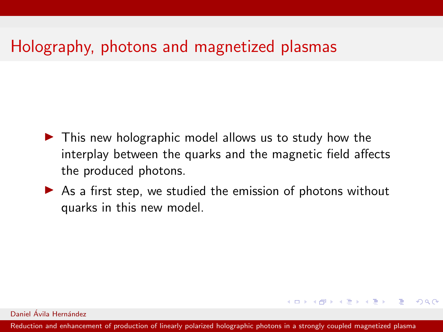- $\blacktriangleright$  This new holographic model allows us to study how the interplay between the quarks and the magnetic field affects the produced photons.
- $\triangleright$  As a first step, we studied the emission of photons without quarks in this new model.

Daniel Ávila Hernández

[Reduction and enhancement of production of linearly polarized holographic photons in a strongly coupled magnetized plasma](#page-0-0)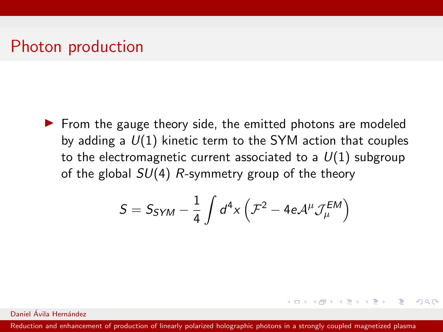$\triangleright$  From the gauge theory side, the emitted photons are modeled by adding a  $U(1)$  kinetic term to the SYM action that couples to the electromagnetic current associated to a  $U(1)$  subgroup of the global  $SU(4)$  R-symmetry group of the theory

$$
S = S_{SYM} - \frac{1}{4} \int d^4x \left( \mathcal{F}^2 - 4e \mathcal{A}^{\mu} \mathcal{J}_{\mu}^{EM} \right)
$$

**KED KAP KED KED E VAR** 

Daniel Ávila Hernández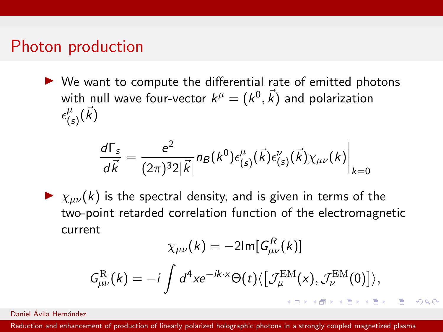$\triangleright$  We want to compute the differential rate of emitted photons with null wave four-vector  $k^\mu = (k^0,\vec{k})$  and polarization  $\epsilon_l^{\mu}$  $^{\mu}_{(\mathfrak{s})}(\vec{k})$ 

$$
\frac{d\Gamma_s}{d\vec{k}} = \frac{e^2}{(2\pi)^3 2|\vec{k}|} n_B(k^0) \epsilon_{(s)}^{\mu}(\vec{k}) \epsilon_{(s)}^{\nu}(\vec{k}) \chi_{\mu\nu}(k) \bigg|_{k=0}
$$

 $\blacktriangleright \chi_{\mu\nu}(k)$  is the spectral density, and is given in terms of the two-point retarded correlation function of the electromagnetic current

$$
\chi_{\mu\nu}(k) = -2\mathrm{Im}[G_{\mu\nu}^{R}(k)]
$$

$$
G_{\mu\nu}^{\mathrm{R}}(k) = -i \int d^{4}x e^{-ik \cdot x} \Theta(t) \langle \left[ \mathcal{J}_{\mu}^{\mathrm{EM}}(x), \mathcal{J}_{\nu}^{\mathrm{EM}}(0) \right] \rangle,
$$

Daniel Ávila Hernández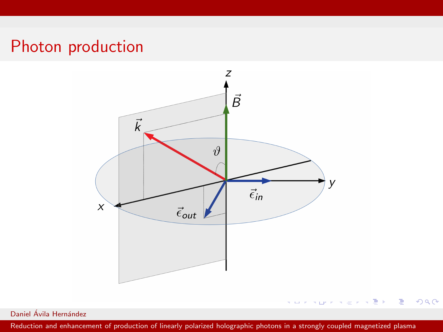

Daniel Ávila Hernández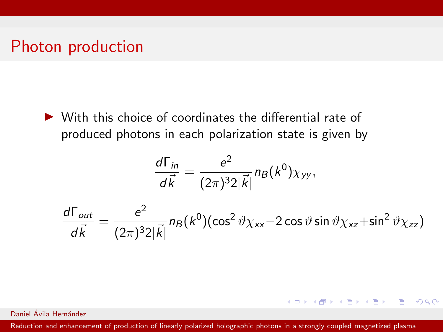$\triangleright$  With this choice of coordinates the differential rate of produced photons in each polarization state is given by

$$
\frac{d\Gamma_{in}}{d\vec{k}}=\frac{e^2}{(2\pi)^32|\vec{k}|}n_B(k^0)\chi_{yy},
$$

$$
\frac{d\Gamma_{out}}{d\vec{k}} = \frac{e^2}{(2\pi)^3 2|\vec{k}|} n_B(k^0) (\cos^2 \vartheta \chi_{xx} - 2 \cos \vartheta \sin \vartheta \chi_{xz} + \sin^2 \vartheta \chi_{zz})
$$

KOX KORKA EX KEX LE YORO

Daniel Ávila Hernández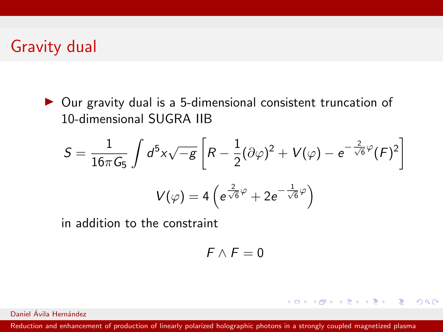$\triangleright$  Our gravity dual is a 5-dimensional consistent truncation of 10-dimensional SUGRA IIB

$$
S = \frac{1}{16\pi G_5} \int d^5x \sqrt{-g} \left[ R - \frac{1}{2} (\partial \varphi)^2 + V(\varphi) - e^{-\frac{2}{\sqrt{6}} \varphi} (F)^2 \right]
$$

$$
V(\varphi) = 4 \left( e^{\frac{2}{\sqrt{6}} \varphi} + 2e^{-\frac{1}{\sqrt{6}} \varphi} \right)
$$

in addition to the constraint

$$
F\wedge F=0
$$

KOX KORKA EX KEX LE YORO

Daniel Ávila Hernández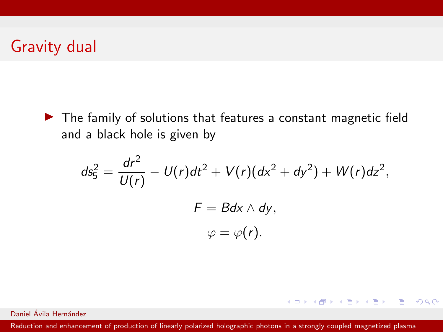$\blacktriangleright$  The family of solutions that features a constant magnetic field and a black hole is given by

$$
ds_5^2 = \frac{dr^2}{U(r)} - U(r)dt^2 + V(r)(dx^2 + dy^2) + W(r)dz^2,
$$
  

$$
F = Bdx \wedge dy,
$$
  

$$
\varphi = \varphi(r).
$$

KOX KORKA EX KEX LE YORO

Daniel Ávila Hernández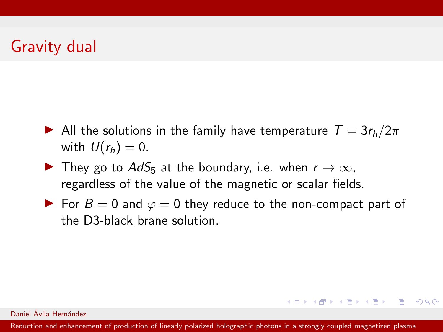- All the solutions in the family have temperature  $T = 3r_h/2\pi$ with  $U(r_h) = 0$ .
- $\blacktriangleright$  They go to  $AdS_5$  at the boundary, i.e. when  $r \to \infty$ , regardless of the value of the magnetic or scalar fields.
- ► For  $B = 0$  and  $\varphi = 0$  they reduce to the non-compact part of the D3-black brane solution.

#### Daniel Ávila Hernández

[Reduction and enhancement of production of linearly polarized holographic photons in a strongly coupled magnetized plasma](#page-0-0)

**KO KAR KEKKEK E YAN**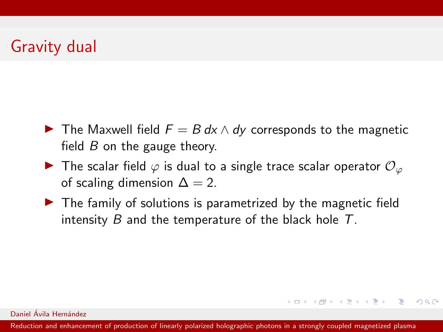- $\triangleright$  The Maxwell field  $F = B dx \wedge dy$  corresponds to the magnetic field  $B$  on the gauge theory.
- $\triangleright$  The scalar field  $\varphi$  is dual to a single trace scalar operator  $\mathcal{O}_{\varphi}$ of scaling dimension  $\Delta = 2$ .
- $\blacktriangleright$  The family of solutions is parametrized by the magnetic field intensity B and the temperature of the black hole  $T$ .

Daniel Ávila Hernández

[Reduction and enhancement of production of linearly polarized holographic photons in a strongly coupled magnetized plasma](#page-0-0)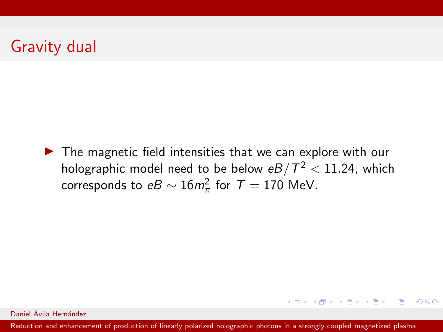$\blacktriangleright$  The magnetic field intensities that we can explore with our holographic model need to be below  $eB/\mathcal{T}^2 < 11.24$ , which corresponds to  $eB \sim 16 m_\pi^2$  for  $\mathcal{T}=170$  MeV.

Daniel Ávila Hernández

[Reduction and enhancement of production of linearly polarized holographic photons in a strongly coupled magnetized plasma](#page-0-0)

**KO KAR KEKKEK E YAN**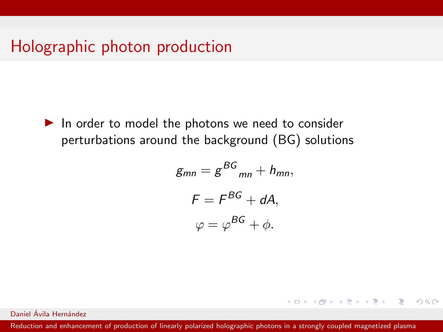$\blacktriangleright$  In order to model the photons we need to consider perturbations around the background (BG) solutions

$$
g_{mn} = g^{BG}{}_{mn} + h_{mn},
$$

$$
F = F^{BG} + dA,
$$

$$
\varphi = \varphi^{BG} + \phi.
$$

K ロ ▶ K 個 ▶ K 필 ▶ K 필 ▶ - 필 → 9 Q @

Daniel Ávila Hernández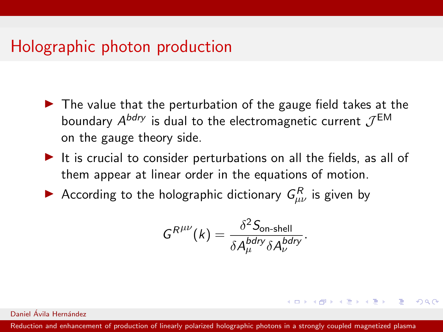- $\blacktriangleright$  The value that the perturbation of the gauge field takes at the boundary  $A^{bdry}$  is dual to the electromagnetic current  $\mathcal{J}^{\mathsf{EM}}$ on the gauge theory side.
- $\blacktriangleright$  It is crucial to consider perturbations on all the fields, as all of them appear at linear order in the equations of motion.
- According to the holographic dictionary  $G_{\mu\nu}^{R}$  is given by

$$
G^{R^{\mu\nu}}(k) = \frac{\delta^2 S_{\text{on-shell}}}{\delta A^{bdry}_{\mu} \delta A^{bdry}_{\nu}}.
$$

**KORK EXTERNS AND KOACH** 

Daniel Ávila Hernández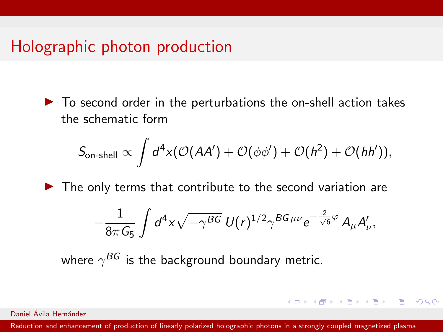$\triangleright$  To second order in the perturbations the on-shell action takes the schematic form

$$
S_{\text{on-shell}} \propto \int d^4x (\mathcal{O}(AA') + \mathcal{O}(\phi\phi') + \mathcal{O}(h^2) + \mathcal{O}(hh')),
$$

 $\blacktriangleright$  The only terms that contribute to the second variation are

$$
-\frac{1}{8\pi G_5}\int d^4x \sqrt{-\gamma^{BG}} U(r)^{1/2} \gamma^{BG\mu\nu} e^{-\frac{2}{\sqrt{6}}\varphi} A_\mu A'_\nu,
$$

**KO KAR KEKKEK E YAN** 

where  $\gamma^{BG}$  is the background boundary metric.

Daniel Ávila Hernández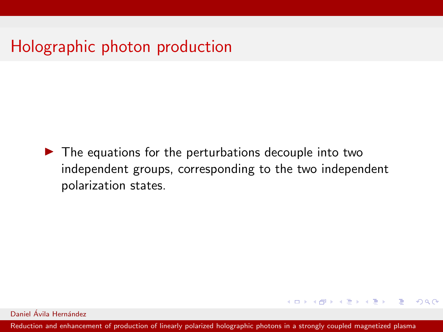$\blacktriangleright$  The equations for the perturbations decouple into two independent groups, corresponding to the two independent polarization states.

Daniel Ávila Hernández

[Reduction and enhancement of production of linearly polarized holographic photons in a strongly coupled magnetized plasma](#page-0-0)

**KO KAR KEKKEK E YAN**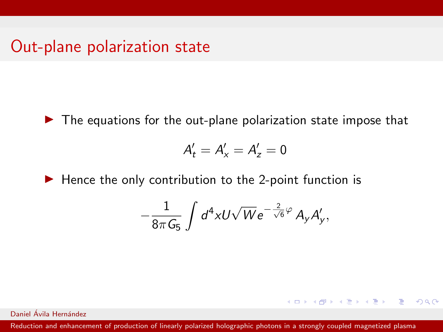$\blacktriangleright$  The equations for the out-plane polarization state impose that

$$
A'_t = A'_x = A'_z = 0
$$

 $\blacktriangleright$  Hence the only contribution to the 2-point function is

$$
-\frac{1}{8\pi G_5}\int d^4x U\sqrt{W}e^{-\frac{2}{\sqrt{6}}\varphi}A_yA'_y,
$$

**KO KAR KEKKEK E YAN** 

Daniel Ávila Hernández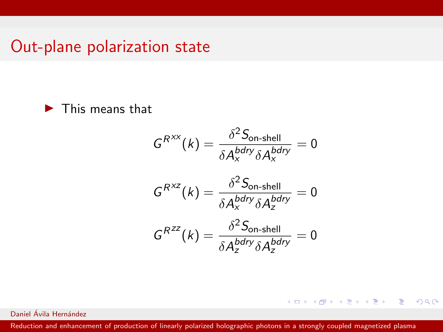$\blacktriangleright$  This means that

$$
G^{R^{XX}}(k) = \frac{\delta^2 S_{\text{on-shell}}}{\delta A_x^{bdry} \delta A_x^{bdry}} = 0
$$

$$
G^{R^{XZ}}(k) = \frac{\delta^2 S_{\text{on-shell}}}{\delta A_x^{bdry} \delta A_z^{bdry}} = 0
$$

$$
G^{R^{ZZ}}(k) = \frac{\delta^2 S_{\text{on-shell}}}{\delta A_z^{bdry} \delta A_z^{bdry}} = 0
$$

イロト イ団ト イミト イミト・ミニ りなぐ

Daniel Ávila Hernández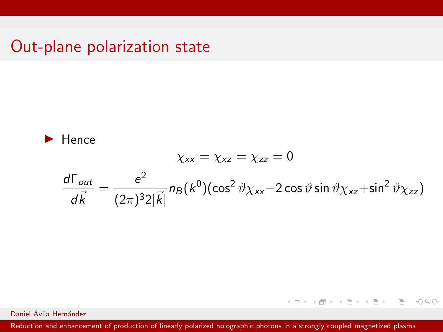$$
\blacktriangleright
$$
 Hence  
\n
$$
\chi_{xx} = \chi_{zz} = 0
$$
\n
$$
\frac{d\Gamma_{out}}{d\vec{k}} = \frac{e^2}{(2\pi)^3 2|\vec{k}|} n_B(k^0) (\cos^2 \vartheta \chi_{xx} - 2 \cos \vartheta \sin \vartheta \chi_{xz} + \sin^2 \vartheta \chi_{zz})
$$

イロト イ団ト イミト イミト・ミニ りなぐ

Daniel Ávila Hernández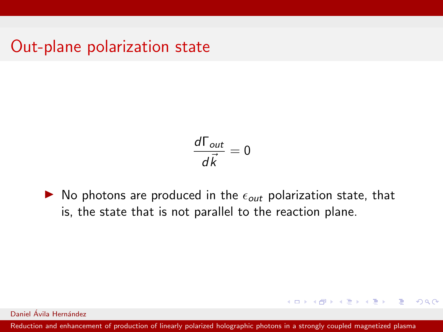$$
\frac{d\Gamma_{out}}{d\vec{k}}=0
$$

 $\triangleright$  No photons are produced in the  $\epsilon_{out}$  polarization state, that is, the state that is not parallel to the reaction plane.

Daniel Ávila Hernández

[Reduction and enhancement of production of linearly polarized holographic photons in a strongly coupled magnetized plasma](#page-0-0)

**KO KAR KEKKEK E YAN**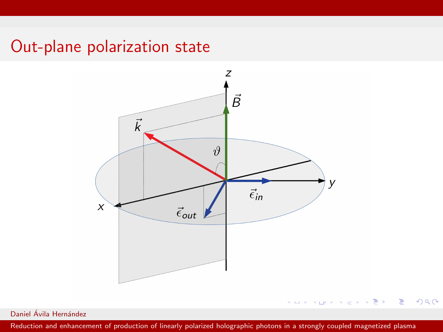

 $299$ 

Daniel Ávila Hernández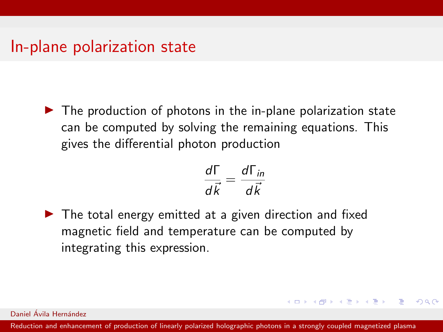$\blacktriangleright$  The production of photons in the in-plane polarization state can be computed by solving the remaining equations. This gives the differential photon production

$$
\frac{d\Gamma}{d\vec{k}} = \frac{d\Gamma_{in}}{d\vec{k}}
$$

**KED KAP KED KED E VAR** 

 $\blacktriangleright$  The total energy emitted at a given direction and fixed magnetic field and temperature can be computed by integrating this expression.

Daniel Ávila Hernández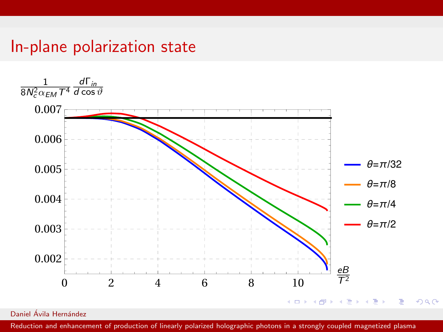

Daniel Ávila Hernández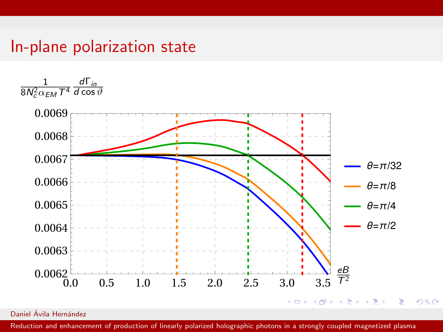

Daniel Ávila Hernández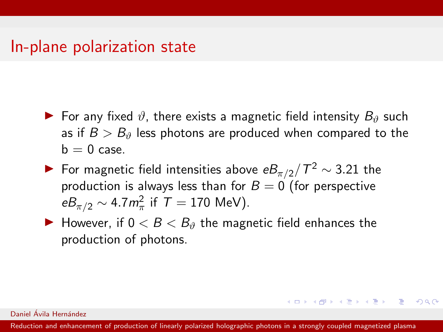- $\blacktriangleright$  For any fixed  $\vartheta$ , there exists a magnetic field intensity  $B_{\vartheta}$  such as if  $B > B<sub>0</sub>$  less photons are produced when compared to the  $b = 0$  case.
- ▶ For magnetic field intensities above  $eB_{\pi/2}/T^2 \sim 3.21$  the production is always less than for  $B = 0$  (for perspective  $eB_{\pi/2} \sim 4.7 m_{\pi}^2$  if  $T = 170$  MeV).
- $\blacktriangleright$  However, if  $0 < B < B_{\vartheta}$  the magnetic field enhances the production of photons.

Daniel Ávila Hernández

[Reduction and enhancement of production of linearly polarized holographic photons in a strongly coupled magnetized plasma](#page-0-0)

**KORK EXTERNS AND KOACH**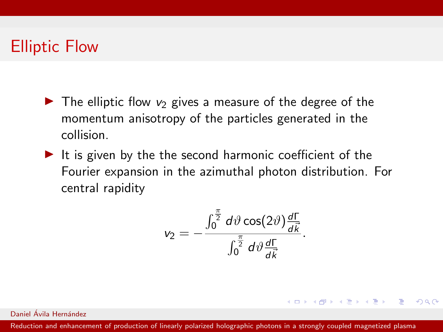### Elliptic Flow

- $\triangleright$  The elliptic flow  $v_2$  gives a measure of the degree of the momentum anisotropy of the particles generated in the collision.
- $\blacktriangleright$  It is given by the the second harmonic coefficient of the Fourier expansion in the azimuthal photon distribution. For central rapidity

$$
v_2=-\frac{\int_0^{\frac{\pi}{2}}d\vartheta\cos(2\vartheta)\frac{d\Gamma}{d\vec{k}}}{\int_0^{\frac{\pi}{2}}d\vartheta\frac{d\Gamma}{d\vec{k}}}.
$$

**KED KAP KED KED E VAR** 

Daniel Ávila Hernández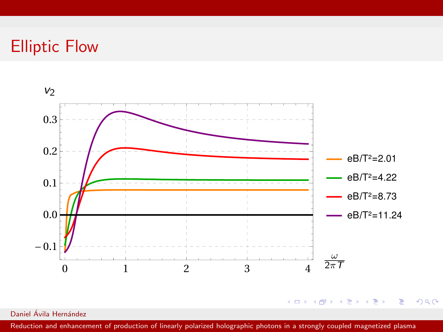## Elliptic Flow



Daniel Ávila Hernández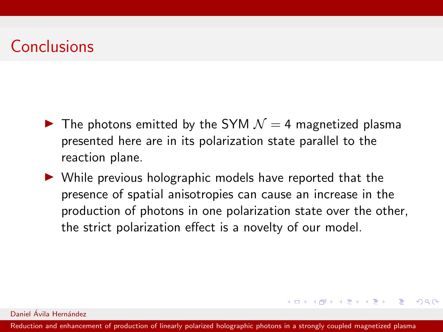## Conclusions

- $\blacktriangleright$  The photons emitted by the SYM  $\mathcal{N}=4$  magnetized plasma presented here are in its polarization state parallel to the reaction plane.
- $\triangleright$  While previous holographic models have reported that the presence of spatial anisotropies can cause an increase in the production of photons in one polarization state over the other, the strict polarization effect is a novelty of our model.

#### Daniel Ávila Hernández

[Reduction and enhancement of production of linearly polarized holographic photons in a strongly coupled magnetized plasma](#page-0-0)

**KORK EXTERNS AND KOACH**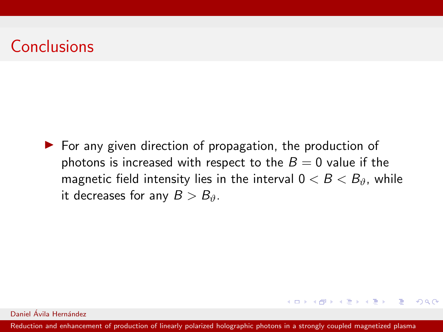## Conclusions

 $\triangleright$  For any given direction of propagation, the production of photons is increased with respect to the  $B = 0$  value if the magnetic field intensity lies in the interval  $0 < B < B_0$ , while it decreases for any  $B > B_{\vartheta}$ .

Daniel Ávila Hernández

[Reduction and enhancement of production of linearly polarized holographic photons in a strongly coupled magnetized plasma](#page-0-0)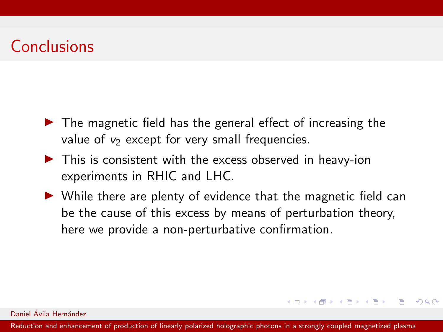## Conclusions

- $\blacktriangleright$  The magnetic field has the general effect of increasing the value of  $v_2$  except for very small frequencies.
- $\blacktriangleright$  This is consistent with the excess observed in heavy-ion experiments in RHIC and LHC.
- $\triangleright$  While there are plenty of evidence that the magnetic field can be the cause of this excess by means of perturbation theory, here we provide a non-perturbative confirmation.

K ロ ▶ K 個 ▶ K 필 ▶ K 필 ▶ - 필 → 9 Q @

#### Daniel Ávila Hernández